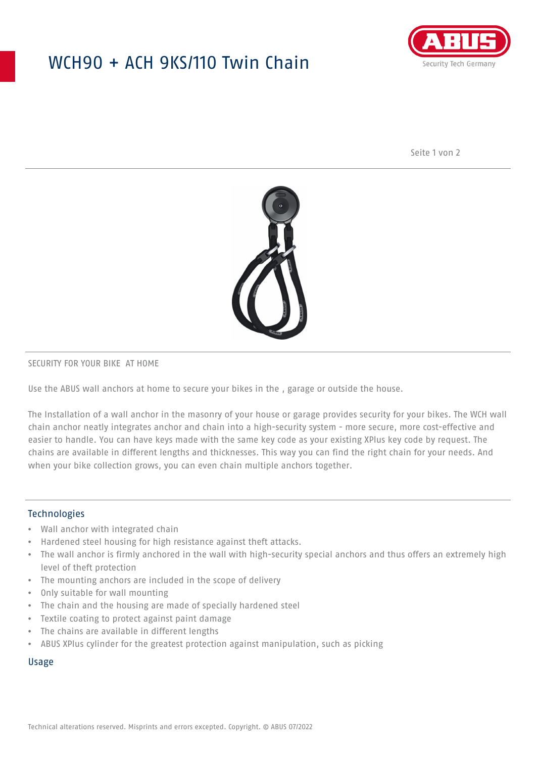## WCH90 + ACH 9KS/110 Twin Chain



Seite 1 von 2



### SECURITY FOR YOUR BIKE AT HOME

Use the ABUS wall anchors at home to secure your bikes in the , garage or outside the house.

The Installation of a wall anchor in the masonry of your house or garage provides security for your bikes. The WCH wall chain anchor neatly integrates anchor and chain into a high-security system - more secure, more cost-effective and easier to handle. You can have keys made with the same key code as your existing XPlus key code by request. The chains are available in different lengths and thicknesses. This way you can find the right chain for your needs. And when your bike collection grows, you can even chain multiple anchors together.

## Technologies

- Wall anchor with integrated chain
- Hardened steel housing for high resistance against theft attacks.
- The wall anchor is firmly anchored in the wall with high-security special anchors and thus offers an extremely high level of theft protection
- The mounting anchors are included in the scope of delivery
- Only suitable for wall mounting
- The chain and the housing are made of specially hardened steel
- Textile coating to protect against paint damage
- The chains are available in different lengths
- ABUS XPlus cylinder for the greatest protection against manipulation, such as picking

### Usage